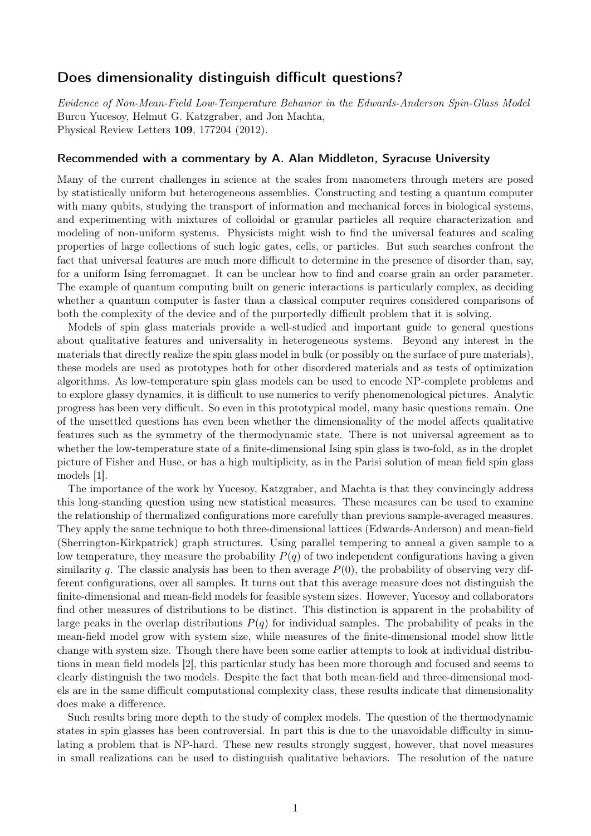## Does dimensionality distinguish difficult questions?

*Evidence of Non-Mean-Field Low-Temperature Behavior in the Edwards-Anderson Spin-Glass Model* Burcu Yucesoy, Helmut G. Katzgraber, and Jon Machta, Physical Review Letters 109, 177204 (2012).

## Recommended with a commentary by A. Alan Middleton, Syracuse University

Many of the current challenges in science at the scales from nanometers through meters are posed by statistically uniform but heterogeneous assemblies. Constructing and testing a quantum computer with many qubits, studying the transport of information and mechanical forces in biological systems, and experimenting with mixtures of colloidal or granular particles all require characterization and modeling of non-uniform systems. Physicists might wish to find the universal features and scaling properties of large collections of such logic gates, cells, or particles. But such searches confront the fact that universal features are much more difficult to determine in the presence of disorder than, say, for a uniform Ising ferromagnet. It can be unclear how to find and coarse grain an order parameter. The example of quantum computing built on generic interactions is particularly complex, as deciding whether a quantum computer is faster than a classical computer requires considered comparisons of both the complexity of the device and of the purportedly difficult problem that it is solving.

Models of spin glass materials provide a well-studied and important guide to general questions about qualitative features and universality in heterogeneous systems. Beyond any interest in the materials that directly realize the spin glass model in bulk (or possibly on the surface of pure materials), these models are used as prototypes both for other disordered materials and as tests of optimization algorithms. As low-temperature spin glass models can be used to encode NP-complete problems and to explore glassy dynamics, it is difficult to use numerics to verify phenomenological pictures. Analytic progress has been very difficult. So even in this prototypical model, many basic questions remain. One of the unsettled questions has even been whether the dimensionality of the model affects qualitative features such as the symmetry of the thermodynamic state. There is not universal agreement as to whether the low-temperature state of a finite-dimensional Ising spin glass is two-fold, as in the droplet picture of Fisher and Huse, or has a high multiplicity, as in the Parisi solution of mean field spin glass models [1].

The importance of the work by Yucesoy, Katzgraber, and Machta is that they convincingly address this long-standing question using new statistical measures. These measures can be used to examine the relationship of thermalized configurations more carefully than previous sample-averaged measures. They apply the same technique to both three-dimensional lattices (Edwards-Anderson) and mean-field (Sherrington-Kirkpatrick) graph structures. Using parallel tempering to anneal a given sample to a low temperature, they measure the probability *P*(*q*) of two independent configurations having a given similarity q. The classic analysis has been to then average  $P(0)$ , the probability of observing very different configurations, over all samples. It turns out that this average measure does not distinguish the finite-dimensional and mean-field models for feasible system sizes. However, Yucesoy and collaborators find other measures of distributions to be distinct. This distinction is apparent in the probability of large peaks in the overlap distributions  $P(q)$  for individual samples. The probability of peaks in the mean-field model grow with system size, while measures of the finite-dimensional model show little change with system size. Though there have been some earlier attempts to look at individual distributions in mean field models [2], this particular study has been more thorough and focused and seems to clearly distinguish the two models. Despite the fact that both mean-field and three-dimensional models are in the same difficult computational complexity class, these results indicate that dimensionality does make a difference.

Such results bring more depth to the study of complex models. The question of the thermodynamic states in spin glasses has been controversial. In part this is due to the unavoidable difficulty in simulating a problem that is NP-hard. These new results strongly suggest, however, that novel measures in small realizations can be used to distinguish qualitative behaviors. The resolution of the nature